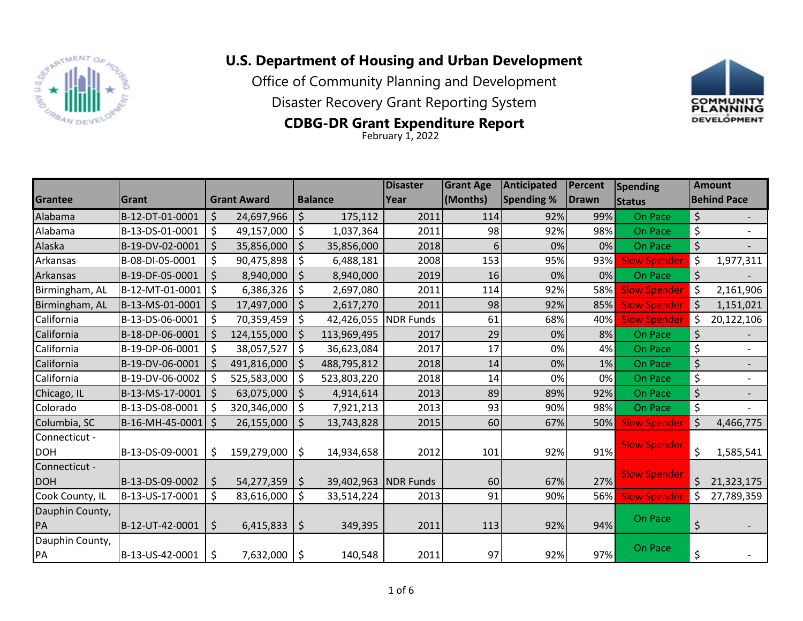

## **U.S. Department of Housing and Urban Development**

Office of Community Planning and Development

Disaster Recovery Grant Reporting System



## **CDBG-DR Grant Expenditure Report**

February 1, 2022

|                             |                 |         |                    |         |                | <b>Disaster</b>  | <b>Grant Age</b> | <b>Anticipated</b> | Percent      | <b>Spending</b>     | <b>Amount</b> |                    |  |  |
|-----------------------------|-----------------|---------|--------------------|---------|----------------|------------------|------------------|--------------------|--------------|---------------------|---------------|--------------------|--|--|
| <b>Grantee</b>              | Grant           |         | <b>Grant Award</b> |         | <b>Balance</b> | Year             | (Months)         | <b>Spending %</b>  | <b>Drawn</b> | <b>Status</b>       |               | <b>Behind Pace</b> |  |  |
| Alabama                     | B-12-DT-01-0001 | \$      | 24,697,966         | \$      | 175,112        | 2011             | 114              | 92%                | 99%          | On Pace             | \$            |                    |  |  |
| Alabama                     | B-13-DS-01-0001 | $\zeta$ | 49,157,000         | \$      | 1,037,364      | 2011             | 98               | 92%                | 98%          | On Pace             | \$            |                    |  |  |
| Alaska                      | B-19-DV-02-0001 | $\zeta$ | 35,856,000         | \$      | 35,856,000     | 2018             | 6                | 0%                 | 0%           | On Pace             | \$            |                    |  |  |
| Arkansas                    | B-08-DI-05-0001 | \$      | 90,475,898         | \$      | 6,488,181      | 2008             | 153              | 95%                | 93%          | <b>Slow Spender</b> | $\zeta$       | 1,977,311          |  |  |
| Arkansas                    | B-19-DF-05-0001 | \$      | 8,940,000          | \$      | 8,940,000      | 2019             | 16               | 0%                 | 0%           | On Pace             | \$            |                    |  |  |
| Birmingham, AL              | B-12-MT-01-0001 | $\zeta$ | 6,386,326          | \$      | 2,697,080      | 2011             | 114              | 92%                | 58%          | <b>Slow Spender</b> | $\zeta$       | 2,161,906          |  |  |
| Birmingham, AL              | B-13-MS-01-0001 | \$      | 17,497,000         | \$      | 2,617,270      | 2011             | 98               | 92%                | 85%          | <b>Slow Spender</b> | $\zeta$       | 1,151,021          |  |  |
| California                  | B-13-DS-06-0001 | $\zeta$ | 70,359,459         | $\zeta$ | 42,426,055     | NDR Funds        | 61               | 68%                | 40%          | <b>Slow Spender</b> | \$            | 20,122,106         |  |  |
| California                  | B-18-DP-06-0001 | \$      | 124,155,000        | \$      | 113,969,495    | 2017             | 29               | 0%                 | 8%           | On Pace             | \$            |                    |  |  |
| California                  | B-19-DP-06-0001 | $\zeta$ | 38,057,527         | \$      | 36,623,084     | 2017             | 17               | 0%                 | 4%           | On Pace             | \$            |                    |  |  |
| California                  | B-19-DV-06-0001 | \$      | 491,816,000        | \$      | 488,795,812    | 2018             | 14               | 0%                 | 1%           | On Pace             | $\zeta$       |                    |  |  |
| California                  | B-19-DV-06-0002 | \$      | 525,583,000        | \$      | 523,803,220    | 2018             | 14               | 0%                 | 0%           | On Pace             | \$            |                    |  |  |
| Chicago, IL                 | B-13-MS-17-0001 | $\zeta$ | 63,075,000         | $\zeta$ | 4,914,614      | 2013             | 89               | 89%                | 92%          | On Pace             | \$            |                    |  |  |
| Colorado                    | B-13-DS-08-0001 | \$      | 320,346,000        | \$      | 7,921,213      | 2013             | 93               | 90%                | 98%          | On Pace             | \$            |                    |  |  |
| Columbia, SC                | B-16-MH-45-0001 | $\zeta$ | 26,155,000         | \$      | 13,743,828     | 2015             | 60               | 67%                | 50%          | <b>Slow Spender</b> | $\zeta$       | 4,466,775          |  |  |
| Connecticut -<br><b>DOH</b> | B-13-DS-09-0001 | \$      | 159,279,000        | \$      | 14,934,658     | 2012             | 101              | 92%                | 91%          | <b>Slow Spender</b> | \$            | 1,585,541          |  |  |
| Connecticut -               |                 |         |                    |         |                |                  |                  |                    |              |                     |               |                    |  |  |
| <b>DOH</b>                  | B-13-DS-09-0002 | \$      | 54,277,359         | $\zeta$ | 39,402,963     | <b>NDR</b> Funds | 60               | 67%                | 27%          | <b>Slow Spender</b> | \$            | 21,323,175         |  |  |
| Cook County, IL             | B-13-US-17-0001 | \$      | 83,616,000         | \$      | 33,514,224     | 2013             | 91               | 90%                | 56%          | <b>Slow Spender</b> | \$            | 27,789,359         |  |  |
| Dauphin County,             |                 |         |                    |         |                |                  |                  |                    |              |                     |               |                    |  |  |
| PA                          | B-12-UT-42-0001 | $\zeta$ | 6,415,833          | \$      | 349,395        | 2011             | 113              | 92%                | 94%          | On Pace             | \$            |                    |  |  |
| Dauphin County,             |                 |         |                    |         |                |                  |                  |                    |              | On Pace             |               |                    |  |  |
| PA                          | B-13-US-42-0001 | \$      | $7,632,000$   \$   |         | 140,548        | 2011             | 97               | 92%                | 97%          |                     | \$            |                    |  |  |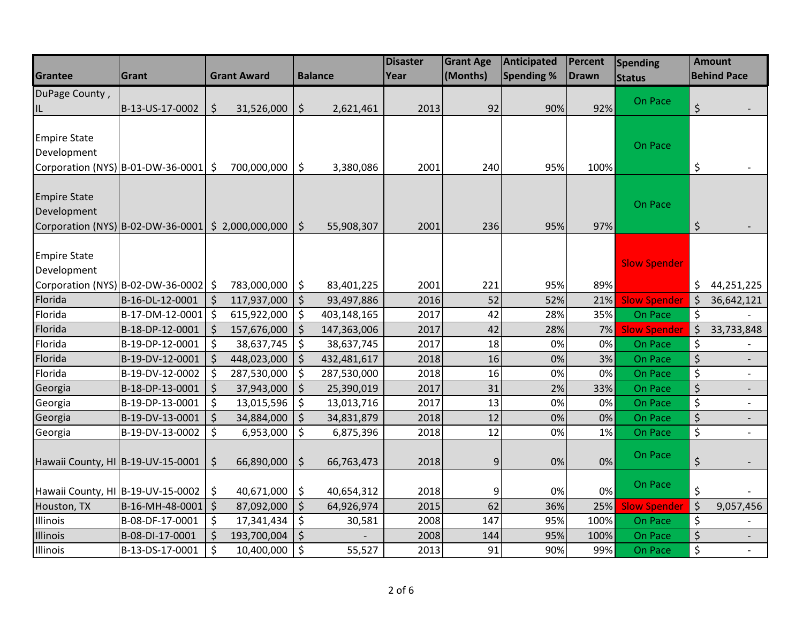|                                                  |                                                      |                     |                    |               |                | <b>Disaster</b> | <b>Grant Age</b> | <b>Anticipated</b> | Percent      | Spending                       |         | <b>Amount</b>      |
|--------------------------------------------------|------------------------------------------------------|---------------------|--------------------|---------------|----------------|-----------------|------------------|--------------------|--------------|--------------------------------|---------|--------------------|
| Grantee                                          | Grant                                                |                     | <b>Grant Award</b> |               | <b>Balance</b> | Year            | (Months)         | <b>Spending %</b>  | <b>Drawn</b> | <b>Status</b>                  |         | <b>Behind Pace</b> |
| DuPage County,                                   |                                                      |                     |                    |               |                |                 |                  |                    |              |                                |         |                    |
| IL                                               | B-13-US-17-0002                                      | \$                  | 31,526,000         | \$            | 2,621,461      | 2013            | 92               | 90%                | 92%          | On Pace                        | \$      |                    |
|                                                  |                                                      |                     |                    |               |                |                 |                  |                    |              |                                |         |                    |
| <b>Empire State</b>                              |                                                      |                     |                    |               |                |                 |                  |                    |              |                                |         |                    |
| Development                                      |                                                      |                     |                    |               |                |                 |                  |                    |              | On Pace                        |         |                    |
|                                                  | Corporation (NYS) B-01-DW-36-0001 \$                 |                     | 700,000,000        | \$            | 3,380,086      | 2001            | 240              | 95%                | 100%         |                                | \$      |                    |
|                                                  |                                                      |                     |                    |               |                |                 |                  |                    |              |                                |         |                    |
| <b>Empire State</b>                              |                                                      |                     |                    |               |                |                 |                  |                    |              | On Pace                        |         |                    |
| Development                                      |                                                      |                     |                    |               |                |                 |                  |                    |              |                                |         |                    |
|                                                  | Corporation (NYS) B-02-DW-36-0001   \$ 2,000,000,000 |                     |                    | $\vert$ \$    | 55,908,307     | 2001            | 236              | 95%                | 97%          |                                | $\zeta$ |                    |
|                                                  |                                                      |                     |                    |               |                |                 |                  |                    |              |                                |         |                    |
| <b>Empire State</b>                              |                                                      |                     |                    |               |                |                 |                  |                    |              | <b>Slow Spender</b>            |         |                    |
| Development                                      |                                                      |                     |                    |               |                |                 |                  |                    |              |                                |         |                    |
|                                                  | Corporation (NYS) B-02-DW-36-0002 \$                 |                     | 783,000,000        | \$            | 83,401,225     | 2001            | 221              | 95%                | 89%          |                                | \$      | 44,251,225         |
| Florida                                          | B-16-DL-12-0001                                      | $\zeta$             | 117,937,000        | $\zeta$       | 93,497,886     | 2016            | 52               | 52%                | 21%          | <b>Slow Spender</b>            | $\zeta$ | 36,642,121         |
| Florida                                          | B-17-DM-12-0001                                      | $\ddot{\mathsf{s}}$ | 615,922,000        | \$            | 403,148,165    | 2017            | 42               | 28%                | 35%          | On Pace                        | $\zeta$ |                    |
| Florida                                          | B-18-DP-12-0001                                      | $\zeta$             | 157,676,000        | $\zeta$       | 147,363,006    | 2017            | 42               | 28%                | 7%           | <b>Slow Spender</b>            | $\zeta$ | 33,733,848         |
| Florida                                          | B-19-DP-12-0001                                      | \$                  | 38,637,745         | \$            | 38,637,745     | 2017            | 18               | 0%                 | 0%           | On Pace                        | \$      |                    |
| Florida                                          | B-19-DV-12-0001                                      | $\zeta$             | 448,023,000        | $\zeta$       | 432,481,617    | 2018            | 16               | 0%                 | 3%           | On Pace                        | \$      |                    |
| Florida                                          | B-19-DV-12-0002                                      | $\zeta$             | 287,530,000        | \$            | 287,530,000    | 2018            | 16               | 0%                 | 0%           | On Pace                        | $\zeta$ |                    |
| Georgia                                          | B-18-DP-13-0001                                      | $\zeta$             | 37,943,000         | $\zeta$       | 25,390,019     | 2017            | 31               | 2%                 | 33%          | On Pace                        | \$      |                    |
| Georgia                                          | B-19-DP-13-0001                                      | $\zeta$             | 13,015,596         | \$            | 13,013,716     | 2017            | 13               | 0%                 | 0%           | On Pace                        | \$      |                    |
| Georgia                                          | B-19-DV-13-0001                                      | $\zeta$             | 34,884,000         | \$            | 34,831,879     | 2018            | 12               | 0%                 | 0%           | On Pace                        | $\zeta$ |                    |
| Georgia                                          | B-19-DV-13-0002                                      | \$                  | 6,953,000          | $\zeta$       | 6,875,396      | 2018            | 12               | 0%                 | 1%           | On Pace                        | \$      |                    |
|                                                  |                                                      |                     |                    |               |                |                 |                  |                    |              | On Pace                        |         |                    |
| Hawaii County, HI B-19-UV-15-0001                |                                                      | $\zeta$             | 66,890,000         | $\vert \xi$   | 66,763,473     | 2018            | 9                | 0%                 | 0%           |                                | $\zeta$ |                    |
|                                                  |                                                      |                     |                    |               |                |                 |                  |                    | 0%           | On Pace                        | \$      |                    |
| Hawaii County, HI B-19-UV-15-0002<br>Houston, TX | B-16-MH-48-0001   \$                                 | \$                  | 40,671,000         | \$<br>$\zeta$ | 40,654,312     | 2018<br>2015    | 9<br>62          | 0%<br>36%          | 25%          |                                | $\zeta$ |                    |
| Illinois                                         | B-08-DF-17-0001                                      | \$                  | 87,092,000         |               | 64,926,974     | 2008            | 147              | 95%                | 100%         | <b>Slow Spender</b><br>On Pace | \$      | 9,057,456          |
| Illinois                                         | B-08-DI-17-0001                                      | \$                  | 17,341,434         | \$<br>\$      | 30,581         | 2008            | 144              | 95%                | 100%         | On Pace                        | \$      |                    |
|                                                  |                                                      |                     | 193,700,004        |               |                |                 |                  |                    |              |                                |         |                    |
| Illinois                                         | B-13-DS-17-0001                                      | $\zeta$             | 10,400,000         | $\zeta$       | 55,527         | 2013            | 91               | 90%                | 99%          | On Pace                        | \$      |                    |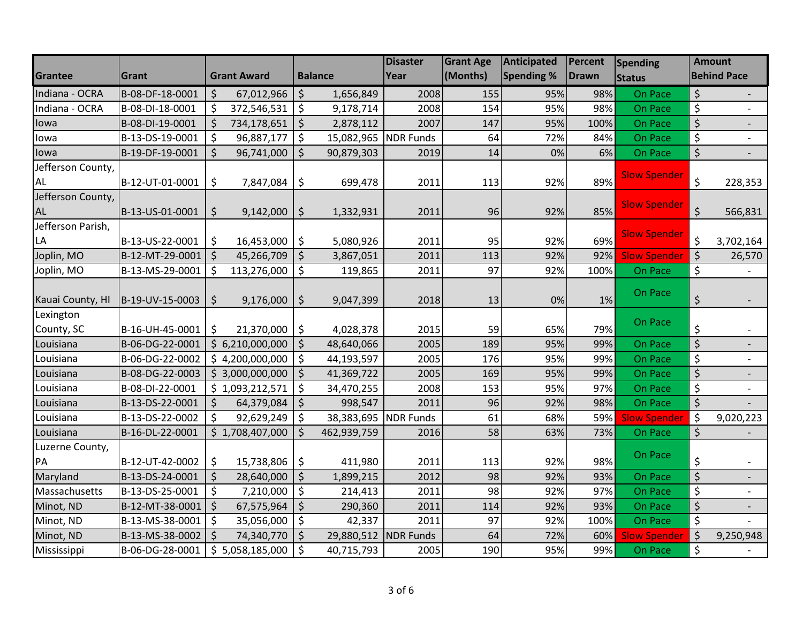|                   |                 |                    |                    |         |                | <b>Disaster</b>  | <b>Grant Age</b> | Anticipated       | Percent      | <b>Spending</b>     | <b>Amount</b>                  |                          |
|-------------------|-----------------|--------------------|--------------------|---------|----------------|------------------|------------------|-------------------|--------------|---------------------|--------------------------------|--------------------------|
| Grantee           | Grant           |                    | <b>Grant Award</b> |         | <b>Balance</b> | Year             | (Months)         | <b>Spending %</b> | <b>Drawn</b> | <b>Status</b>       |                                | <b>Behind Pace</b>       |
| Indiana - OCRA    | B-08-DF-18-0001 | $\zeta$            | 67,012,966         | $\zeta$ | 1,656,849      | 2008             | 155              | 95%               | 98%          | On Pace             | $\zeta$                        |                          |
| Indiana - OCRA    | B-08-DI-18-0001 | $\zeta$            | 372,546,531        | \$      | 9,178,714      | 2008             | 154              | 95%               | 98%          | On Pace             | \$                             |                          |
| lowa              | B-08-DI-19-0001 | $\zeta$            | 734,178,651        | $\zeta$ | 2,878,112      | 2007             | 147              | 95%               | 100%         | On Pace             | $\zeta$                        | $\overline{\phantom{a}}$ |
| lowa              | B-13-DS-19-0001 | $\zeta$            | 96,887,177         | \$      | 15,082,965     | <b>NDR</b> Funds | 64               | 72%               | 84%          | On Pace             | \$                             | $\overline{\phantom{0}}$ |
| lowa              | B-19-DF-19-0001 | $\zeta$            | 96,741,000         | $\zeta$ | 90,879,303     | 2019             | 14               | 0%                | 6%           | On Pace             | $\overline{\varsigma}$         |                          |
| Jefferson County, |                 |                    |                    |         |                |                  |                  |                   |              |                     |                                |                          |
| <b>AL</b>         | B-12-UT-01-0001 | \$                 | 7,847,084          | \$      | 699,478        | 2011             | 113              | 92%               | 89%          | <b>Slow Spender</b> | \$                             | 228,353                  |
| Jefferson County, |                 |                    |                    |         |                |                  |                  |                   |              |                     |                                |                          |
| <b>AL</b>         | B-13-US-01-0001 | \$                 | 9,142,000          | \$      | 1,332,931      | 2011             | 96               | 92%               | 85%          | <b>Slow Spender</b> | $\zeta$                        | 566,831                  |
| Jefferson Parish, |                 |                    |                    |         |                |                  |                  |                   |              |                     |                                |                          |
| LA                | B-13-US-22-0001 | \$                 | 16,453,000         | \$      | 5,080,926      | 2011             | 95               | 92%               | 69%          | <b>Slow Spender</b> | $\zeta$                        | 3,702,164                |
| Joplin, MO        | B-12-MT-29-0001 | l \$               | 45,266,709         | $\zeta$ | 3,867,051      | 2011             | 113              | 92%               | 92%          | <b>Slow Spender</b> | $\zeta$                        | 26,570                   |
| Joplin, MO        | B-13-MS-29-0001 | $\zeta$            | 113,276,000        | $\zeta$ | 119,865        | 2011             | 97               | 92%               | 100%         | On Pace             | \$                             |                          |
|                   |                 |                    |                    |         |                |                  |                  |                   |              | On Pace             |                                |                          |
| Kauai County, HI  | B-19-UV-15-0003 | $\zeta$            | 9,176,000          | \$      | 9,047,399      | 2018             | 13               | 0%                | 1%           |                     | $\zeta$                        |                          |
| Lexington         |                 |                    |                    |         |                |                  |                  |                   |              | On Pace             |                                |                          |
| County, SC        | B-16-UH-45-0001 | $\zeta$            | 21,370,000         | \$      | 4,028,378      | 2015             | 59               | 65%               | 79%          |                     | \$                             |                          |
| Louisiana         | B-06-DG-22-0001 |                    | \$6,210,000,000    | $\zeta$ | 48,640,066     | 2005             | 189              | 95%               | 99%          | On Pace             | $\overline{\xi}$               |                          |
| Louisiana         | B-06-DG-22-0002 |                    | \$4,200,000,000    | $\zeta$ | 44,193,597     | 2005             | 176              | 95%               | 99%          | On Pace             | \$                             |                          |
| Louisiana         | B-08-DG-22-0003 |                    | \$3,000,000,000    | $\zeta$ | 41,369,722     | 2005             | 169              | 95%               | 99%          | On Pace             | $\zeta$                        | $\overline{\phantom{a}}$ |
| Louisiana         | B-08-DI-22-0001 |                    | \$1,093,212,571    | $\zeta$ | 34,470,255     | 2008             | 153              | 95%               | 97%          | On Pace             | \$                             | $\overline{\phantom{0}}$ |
| Louisiana         | B-13-DS-22-0001 | $\zeta$            | 64,379,084         | $\zeta$ | 998,547        | 2011             | 96               | 92%               | 98%          | On Pace             | $\overline{\xi}$               |                          |
| Louisiana         | B-13-DS-22-0002 | \$                 | 92,629,249         | $\zeta$ | 38,383,695     | <b>NDR</b> Funds | 61               | 68%               | 59%          | <b>Slow Spender</b> | $\zeta$                        | 9,020,223                |
| Louisiana         | B-16-DL-22-0001 |                    | \$1,708,407,000    | $\zeta$ | 462,939,759    | 2016             | 58               | 63%               | 73%          | On Pace             | $\boldsymbol{\zeta}$           |                          |
| Luzerne County,   |                 |                    |                    |         |                |                  |                  |                   |              |                     |                                |                          |
| PA                | B-12-UT-42-0002 | \$                 | 15,738,806         | \$      | 411,980        | 2011             | 113              | 92%               | 98%          | On Pace             | \$                             |                          |
| Maryland          | B-13-DS-24-0001 | $\zeta$            | 28,640,000         | $\zeta$ | 1,899,215      | 2012             | 98               | 92%               | 93%          | On Pace             | $\overline{\xi}$               |                          |
| Massachusetts     | B-13-DS-25-0001 | $\zeta$            | 7,210,000          | $\zeta$ | 214,413        | 2011             | 98               | 92%               | 97%          | On Pace             | $\boldsymbol{\zeta}$           | $\blacksquare$           |
| Minot, ND         | B-12-MT-38-0001 | $\vert \xi \vert$  | 67,575,964         | $\zeta$ | 290,360        | 2011             | 114              | 92%               | 93%          | On Pace             | $\boldsymbol{\dot{\varsigma}}$ |                          |
| Minot, ND         | B-13-MS-38-0001 | $\zeta$            | 35,056,000         | \$      | 42,337         | 2011             | 97               | 92%               | 100%         | On Pace             | \$                             |                          |
| Minot, ND         | B-13-MS-38-0002 | $\mathsf{\dot{S}}$ | 74,340,770         | $\zeta$ | 29,880,512     | <b>NDR Funds</b> | 64               | 72%               | 60%          | <b>Slow Spender</b> | $\zeta$                        | 9,250,948                |
| Mississippi       | B-06-DG-28-0001 |                    | \$5,058,185,000    | $\zeta$ | 40,715,793     | 2005             | 190              | 95%               | 99%          | On Pace             | $\zeta$                        |                          |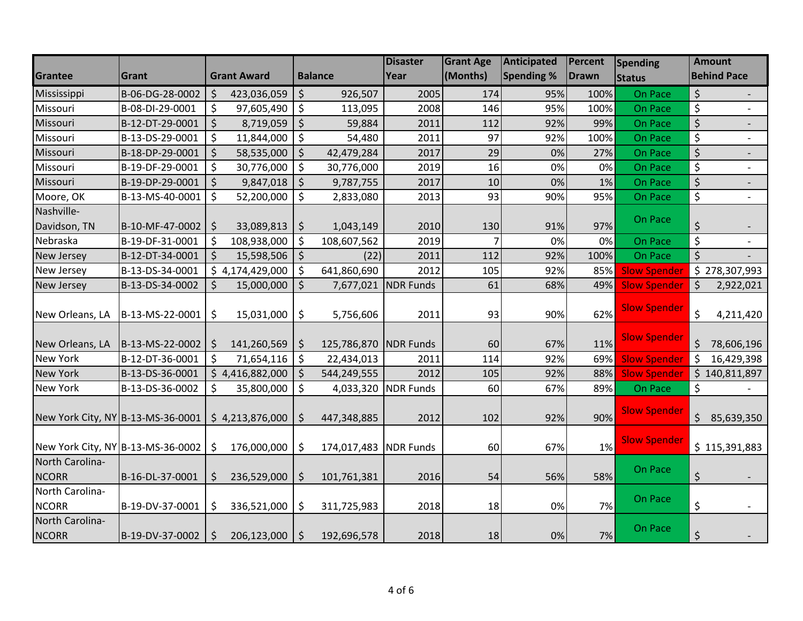|                                   |                 |         |                    |         |                       | <b>Disaster</b>  | <b>Grant Age</b> | Anticipated | Percent      | Spending            |                          | <b>Amount</b>            |
|-----------------------------------|-----------------|---------|--------------------|---------|-----------------------|------------------|------------------|-------------|--------------|---------------------|--------------------------|--------------------------|
| Grantee                           | Grant           |         | <b>Grant Award</b> |         | <b>Balance</b>        | Year             | (Months)         | Spending %  | <b>Drawn</b> | <b>Status</b>       |                          | <b>Behind Pace</b>       |
| Mississippi                       | B-06-DG-28-0002 | \$      | 423,036,059        | $\zeta$ | 926,507               | 2005             | 174              | 95%         | 100%         | On Pace             | \$                       |                          |
| Missouri                          | B-08-DI-29-0001 | \$      | 97,605,490         | $\zeta$ | 113,095               | 2008             | 146              | 95%         | 100%         | On Pace             | \$                       | $\overline{a}$           |
| Missouri                          | B-12-DT-29-0001 | $\zeta$ | 8,719,059          | $\zeta$ | 59,884                | 2011             | 112              | 92%         | 99%          | On Pace             | $\zeta$                  |                          |
| Missouri                          | B-13-DS-29-0001 | \$      | 11,844,000         | \$      | 54,480                | 2011             | 97               | 92%         | 100%         | On Pace             | \$                       |                          |
| Missouri                          | B-18-DP-29-0001 | $\zeta$ | 58,535,000         | \$      | 42,479,284            | 2017             | 29               | 0%          | 27%          | On Pace             | $\overline{\mathcal{L}}$ |                          |
| Missouri                          | B-19-DF-29-0001 | \$      | 30,776,000         | \$      | 30,776,000            | 2019             | 16               | 0%          | 0%           | On Pace             | \$                       | $\overline{\phantom{a}}$ |
| Missouri                          | B-19-DP-29-0001 | $\zeta$ | 9,847,018          | \$      | 9,787,755             | 2017             | 10               | 0%          | 1%           | On Pace             | $\zeta$                  |                          |
| Moore, OK                         | B-13-MS-40-0001 | $\zeta$ | 52,200,000         | \$      | 2,833,080             | 2013             | 93               | 90%         | 95%          | On Pace             | $\overline{\mathcal{S}}$ | $\blacksquare$           |
| Nashville-                        |                 |         |                    |         |                       |                  |                  |             |              |                     |                          |                          |
| Davidson, TN                      | B-10-MF-47-0002 | \$      | 33,089,813         | $\zeta$ | 1,043,149             | 2010             | 130              | 91%         | 97%          | On Pace             | $\zeta$                  | $\overline{\phantom{a}}$ |
| Nebraska                          | B-19-DF-31-0001 | $\zeta$ | 108,938,000        | $\zeta$ | 108,607,562           | 2019             | $\overline{7}$   | 0%          | 0%           | On Pace             | $\boldsymbol{\zeta}$     |                          |
| New Jersey                        | B-12-DT-34-0001 | $\zeta$ | 15,598,506         | $\zeta$ | (22)                  | 2011             | 112              | 92%         | 100%         | On Pace             | $\zeta$                  |                          |
| New Jersey                        | B-13-DS-34-0001 |         | \$4,174,429,000    | \$      | 641,860,690           | 2012             | 105              | 92%         | 85%          | <b>Slow Spender</b> |                          | \$278,307,993            |
| New Jersey                        | B-13-DS-34-0002 | \$      | 15,000,000         | \$      | 7,677,021             | <b>NDR</b> Funds | 61               | 68%         | 49%          | <b>Slow Spender</b> | $\zeta$                  | 2,922,021                |
| New Orleans, LA                   | B-13-MS-22-0001 | \$      | 15,031,000         | \$      | 5,756,606             | 2011             | 93               | 90%         | 62%          | <b>Slow Spender</b> | $\zeta$                  | 4,211,420                |
| New Orleans, LA                   | B-13-MS-22-0002 | \$      | 141,260,569        | \$      | 125,786,870 NDR Funds |                  | 60               | 67%         | 11%          | <b>Slow Spender</b> | $\zeta$                  | 78,606,196               |
| <b>New York</b>                   | B-12-DT-36-0001 | $\zeta$ | 71,654,116         | \$      | 22,434,013            | 2011             | 114              | 92%         | 69%          | <b>Slow Spender</b> | $\zeta$                  | 16,429,398               |
| New York                          | B-13-DS-36-0001 |         | \$4,416,882,000    | \$      | 544,249,555           | 2012             | 105              | 92%         | 88%          | <b>Slow Spender</b> |                          | \$140,811,897            |
| New York                          | B-13-DS-36-0002 | \$      | 35,800,000         | \$      | 4,033,320             | <b>NDR Funds</b> | 60               | 67%         | 89%          | On Pace             | \$                       |                          |
| New York City, NY B-13-MS-36-0001 |                 |         | \$4,213,876,000    | \$      | 447,348,885           | 2012             | 102              | 92%         | 90%          | <b>Slow Spender</b> | $\zeta$                  | 85,639,350               |
| New York City, NY B-13-MS-36-0002 |                 | \$      | 176,000,000        | \$      | 174,017,483 NDR Funds |                  | 60               | 67%         | 1%           | <b>Slow Spender</b> |                          | \$115,391,883            |
| North Carolina-<br><b>NCORR</b>   | B-16-DL-37-0001 | \$      | 236,529,000        | \$      | 101,761,381           | 2016             | 54               | 56%         | 58%          | On Pace             | \$                       |                          |
| North Carolina-<br><b>NCORR</b>   | B-19-DV-37-0001 | \$      | 336,521,000        | \$      | 311,725,983           | 2018             | 18               | 0%          | 7%           | On Pace             | \$                       |                          |
| North Carolina-<br><b>NCORR</b>   | B-19-DV-37-0002 | \$      | 206,123,000        | $\zeta$ | 192,696,578           | 2018             | 18               | 0%          | 7%           | On Pace             | $\boldsymbol{\zeta}$     |                          |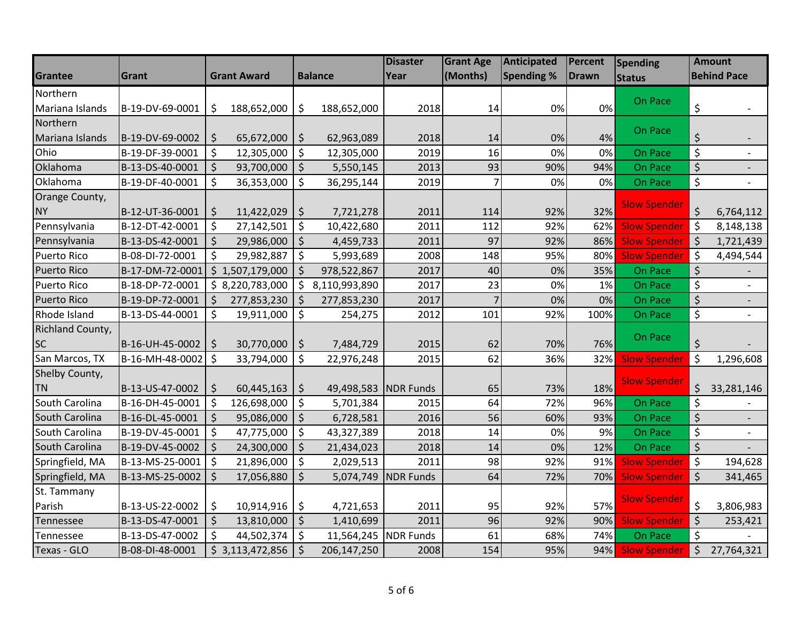|                    |                 |         |                    |             |                      | <b>Disaster</b>     | <b>Grant Age</b> | <b>Anticipated</b> | Percent | <b>Spending</b>     | <b>Amount</b>                  |                          |
|--------------------|-----------------|---------|--------------------|-------------|----------------------|---------------------|------------------|--------------------|---------|---------------------|--------------------------------|--------------------------|
| Grantee            | Grant           |         | <b>Grant Award</b> |             | <b>Balance</b>       | Year                | (Months)         | <b>Spending %</b>  | Drawn   | <b>Status</b>       |                                | <b>Behind Pace</b>       |
| Northern           |                 |         |                    |             |                      |                     |                  |                    |         |                     |                                |                          |
| Mariana Islands    | B-19-DV-69-0001 | \$      | 188,652,000        | \$          | 188,652,000          | 2018                | 14               | 0%                 | 0%      | On Pace             | \$                             |                          |
| Northern           |                 |         |                    |             |                      |                     |                  |                    |         |                     |                                |                          |
| Mariana Islands    | B-19-DV-69-0002 | \$      | $65,672,000$   \$  |             | 62,963,089           | 2018                | 14               | 0%                 | 4%      | On Pace             | \$                             |                          |
| Ohio               | B-19-DF-39-0001 | \$      | 12,305,000         | $\zeta$     | 12,305,000           | 2019                | 16               | 0%                 | 0%      | On Pace             | \$                             |                          |
| Oklahoma           | B-13-DS-40-0001 | $\zeta$ | 93,700,000         | $\zeta$     | 5,550,145            | 2013                | 93               | 90%                | 94%     | On Pace             | $\zeta$                        |                          |
| Oklahoma           | B-19-DF-40-0001 | $\zeta$ | 36,353,000         | \$          | 36,295,144           | 2019                | $\overline{7}$   | 0%                 | 0%      | On Pace             | \$                             |                          |
| Orange County,     |                 |         |                    |             |                      |                     |                  |                    |         |                     |                                |                          |
| <b>NY</b>          | B-12-UT-36-0001 | $\zeta$ | 11,422,029         | $\varsigma$ | 7,721,278            | 2011                | 114              | 92%                | 32%     | <b>Slow Spender</b> | $\zeta$                        | 6,764,112                |
| Pennsylvania       | B-12-DT-42-0001 | $\zeta$ | 27,142,501         | \$          | 10,422,680           | 2011                | 112              | 92%                | 62%     | <b>Slow Spender</b> | $\zeta$                        | 8,148,138                |
| Pennsylvania       | B-13-DS-42-0001 | $\zeta$ | 29,986,000         | $\zeta$     | 4,459,733            | 2011                | 97               | 92%                | 86%     | <b>Slow Spender</b> | $\zeta$                        | 1,721,439                |
| <b>Puerto Rico</b> | B-08-DI-72-0001 | \$      | 29,982,887         | $\zeta$     | 5,993,689            | 2008                | 148              | 95%                | 80%     | <b>Slow Spender</b> | \$                             | 4,494,544                |
| <b>Puerto Rico</b> | B-17-DM-72-0001 |         | \$1,507,179,000    | \$          | 978,522,867          | 2017                | 40               | 0%                 | 35%     | On Pace             | $\zeta$                        |                          |
| Puerto Rico        | B-18-DP-72-0001 |         | \$3,220,783,000    | \$          | 8,110,993,890        | 2017                | 23               | 0%                 | 1%      | On Pace             | $\zeta$                        |                          |
| <b>Puerto Rico</b> | B-19-DP-72-0001 | $\zeta$ | 277,853,230        | \$          | 277,853,230          | 2017                | 7                | 0%                 | 0%      | On Pace             | $\zeta$                        | $\overline{\phantom{a}}$ |
| Rhode Island       | B-13-DS-44-0001 | $\zeta$ | 19,911,000         | \$          | 254,275              | 2012                | 101              | 92%                | 100%    | On Pace             | $\zeta$                        | $\overline{a}$           |
| Richland County,   |                 |         |                    |             |                      |                     |                  |                    |         |                     |                                |                          |
| <b>SC</b>          | B-16-UH-45-0002 | \$      | 30,770,000         | \$          | 7,484,729            | 2015                | 62               | 70%                | 76%     | On Pace             | \$                             |                          |
| San Marcos, TX     | B-16-MH-48-0002 | l \$    | 33,794,000         | \$          | 22,976,248           | 2015                | 62               | 36%                | 32%     | <b>Slow Spender</b> | \$                             | 1,296,608                |
| Shelby County,     |                 |         |                    |             |                      |                     |                  |                    |         |                     |                                |                          |
| <b>TN</b>          | B-13-US-47-0002 | \$      | $60,445,163$   \$  |             | 49,498,583 NDR Funds |                     | 65               | 73%                | 18%     | <b>Slow Spender</b> | \$                             | 33,281,146               |
| South Carolina     | B-16-DH-45-0001 | $\zeta$ | 126,698,000        | $\zeta$     | 5,701,384            | 2015                | 64               | 72%                | 96%     | On Pace             | $\zeta$                        |                          |
| South Carolina     | B-16-DL-45-0001 | $\zeta$ | 95,086,000         | \$          | 6,728,581            | 2016                | 56               | 60%                | 93%     | On Pace             | $\zeta$                        |                          |
| South Carolina     | B-19-DV-45-0001 | $\zeta$ | 47,775,000         | \$          | 43,327,389           | 2018                | 14               | 0%                 | 9%      | On Pace             | $\boldsymbol{\dot{\varsigma}}$ |                          |
| South Carolina     | B-19-DV-45-0002 | $\zeta$ | 24,300,000         | \$          | 21,434,023           | 2018                | 14               | 0%                 | 12%     | On Pace             | $\zeta$                        |                          |
| Springfield, MA    | B-13-MS-25-0001 | $\zeta$ | 21,896,000         | $\zeta$     | 2,029,513            | 2011                | 98               | 92%                | 91%     | <b>Slow Spender</b> | $\zeta$                        | 194,628                  |
| Springfield, MA    | B-13-MS-25-0002 | $\zeta$ | 17,056,880         | $\zeta$     |                      | 5,074,749 NDR Funds | 64               | 72%                | 70%     | <b>Slow Spender</b> | $\zeta$                        | 341,465                  |
| St. Tammany        |                 |         |                    |             |                      |                     |                  |                    |         |                     |                                |                          |
| Parish             | B-13-US-22-0002 | \$      | 10,914,916         | \$          | 4,721,653            | 2011                | 95               | 92%                | 57%     | <b>Slow Spender</b> | \$                             | 3,806,983                |
| Tennessee          | B-13-DS-47-0001 | $\zeta$ | 13,810,000         | $\zeta$     | 1,410,699            | 2011                | 96               | 92%                | 90%     | <b>Slow Spender</b> | $\zeta$                        | 253,421                  |
| Tennessee          | B-13-DS-47-0002 | \$      | 44,502,374         | \$          | 11,564,245           | <b>NDR Funds</b>    | 61               | 68%                | 74%     | On Pace             | \$                             |                          |
| Texas - GLO        | B-08-DI-48-0001 |         | \$3,113,472,856    | \$          | 206,147,250          | 2008                | 154              | 95%                | 94%     | <b>Slow Spender</b> | $\zeta$                        | 27,764,321               |